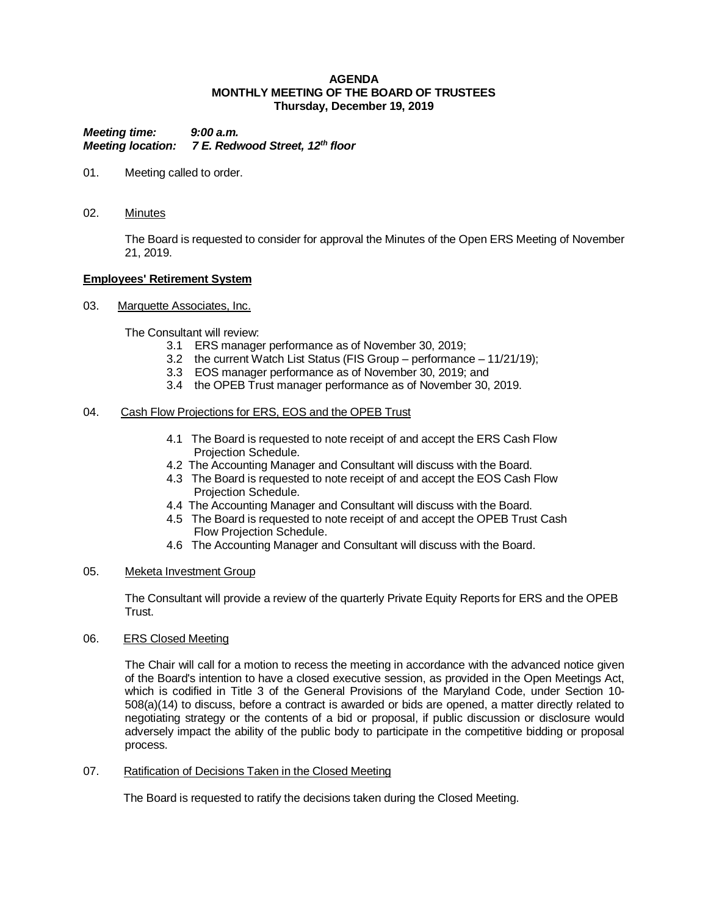#### **AGENDA MONTHLY MEETING OF THE BOARD OF TRUSTEES Thursday, December 19, 2019**

*Meeting time: 9:00 a.m. Meeting location: 7 E. Redwood Street, 12th floor*

- 01. Meeting called to order.
- 02. Minutes

The Board is requested to consider for approval the Minutes of the Open ERS Meeting of November 21, 2019.

#### **Employees' Retirement System**

03. Marquette Associates, Inc.

The Consultant will review:

- 3.1 ERS manager performance as of November 30, 2019;
- 3.2 the current Watch List Status (FIS Group performance 11/21/19);
- 3.3 EOS manager performance as of November 30, 2019; and
- 3.4 the OPEB Trust manager performance as of November 30, 2019.

#### 04. Cash Flow Projections for ERS, EOS and the OPEB Trust

- 4.1 The Board is requested to note receipt of and accept the ERS Cash Flow Projection Schedule.
- 4.2 The Accounting Manager and Consultant will discuss with the Board.
- 4.3 The Board is requested to note receipt of and accept the EOS Cash Flow Projection Schedule.
- 4.4 The Accounting Manager and Consultant will discuss with the Board.
- 4.5 The Board is requested to note receipt of and accept the OPEB Trust Cash Flow Projection Schedule.
- 4.6 The Accounting Manager and Consultant will discuss with the Board.

## 05. Meketa Investment Group

The Consultant will provide a review of the quarterly Private Equity Reports for ERS and the OPEB Trust.

#### 06. ERS Closed Meeting

The Chair will call for a motion to recess the meeting in accordance with the advanced notice given of the Board's intention to have a closed executive session, as provided in the Open Meetings Act, which is codified in Title 3 of the General Provisions of the Maryland Code, under Section 10- 508(a)(14) to discuss, before a contract is awarded or bids are opened, a matter directly related to negotiating strategy or the contents of a bid or proposal, if public discussion or disclosure would adversely impact the ability of the public body to participate in the competitive bidding or proposal process.

07. Ratification of Decisions Taken in the Closed Meeting

The Board is requested to ratify the decisions taken during the Closed Meeting.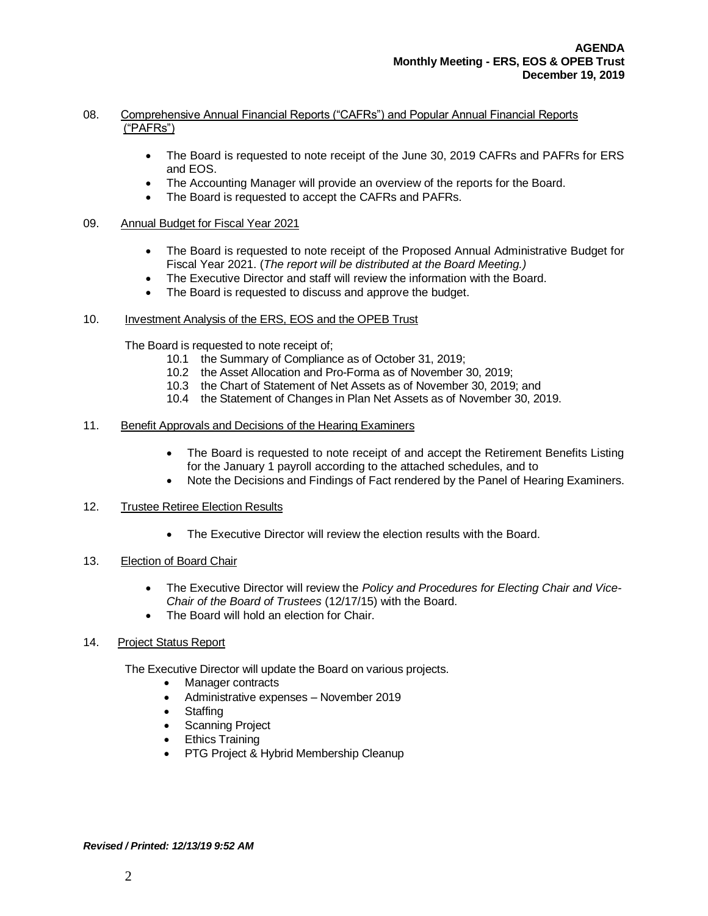## 08. Comprehensive Annual Financial Reports ("CAFRs") and Popular Annual Financial Reports ("PAFRs")

- The Board is requested to note receipt of the June 30, 2019 CAFRs and PAFRs for ERS and EOS.
- The Accounting Manager will provide an overview of the reports for the Board.
- The Board is requested to accept the CAFRs and PAFRs.

### 09. Annual Budget for Fiscal Year 2021

- The Board is requested to note receipt of the Proposed Annual Administrative Budget for Fiscal Year 2021. (*The report will be distributed at the Board Meeting.)*
- The Executive Director and staff will review the information with the Board.
- The Board is requested to discuss and approve the budget.

#### 10. Investment Analysis of the ERS, EOS and the OPEB Trust

The Board is requested to note receipt of;

- 10.1 the Summary of Compliance as of October 31, 2019;
- 10.2 the Asset Allocation and Pro-Forma as of November 30, 2019;
- 10.3 the Chart of Statement of Net Assets as of November 30, 2019; and
- 10.4 the Statement of Changes in Plan Net Assets as of November 30, 2019.

#### 11. Benefit Approvals and Decisions of the Hearing Examiners

- The Board is requested to note receipt of and accept the Retirement Benefits Listing for the January 1 payroll according to the attached schedules, and to
- Note the Decisions and Findings of Fact rendered by the Panel of Hearing Examiners.

#### 12. Trustee Retiree Election Results

• The Executive Director will review the election results with the Board.

## 13. Election of Board Chair

- The Executive Director will review the *Policy and Procedures for Electing Chair and Vice-Chair of the Board of Trustees* (12/17/15) with the Board.
- The Board will hold an election for Chair.

#### 14. Project Status Report

The Executive Director will update the Board on various projects.

- Manager contracts
- Administrative expenses November 2019
- Staffing
- Scanning Project
- Ethics Training
- PTG Project & Hybrid Membership Cleanup